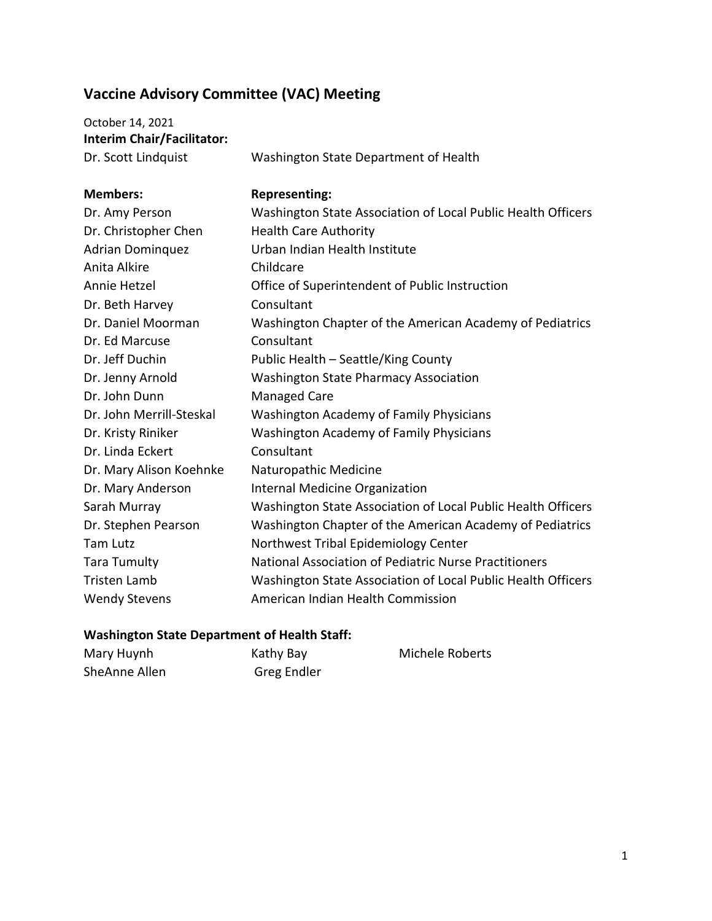## **Vaccine Advisory Committee (VAC) Meeting**

| October 14, 2021                  |         |
|-----------------------------------|---------|
| <b>Interim Chair/Facilitator:</b> |         |
| Dr. Scott Lindouist               | $M_{2}$ |

Dr. Scott Lindquist Washington State Department of Health

| <b>Members:</b>          | <b>Representing:</b>                                         |
|--------------------------|--------------------------------------------------------------|
| Dr. Amy Person           | Washington State Association of Local Public Health Officers |
| Dr. Christopher Chen     | <b>Health Care Authority</b>                                 |
| <b>Adrian Dominquez</b>  | Urban Indian Health Institute                                |
| Anita Alkire             | Childcare                                                    |
| Annie Hetzel             | Office of Superintendent of Public Instruction               |
| Dr. Beth Harvey          | Consultant                                                   |
| Dr. Daniel Moorman       | Washington Chapter of the American Academy of Pediatrics     |
| Dr. Ed Marcuse           | Consultant                                                   |
| Dr. Jeff Duchin          | Public Health - Seattle/King County                          |
| Dr. Jenny Arnold         | <b>Washington State Pharmacy Association</b>                 |
| Dr. John Dunn            | <b>Managed Care</b>                                          |
| Dr. John Merrill-Steskal | <b>Washington Academy of Family Physicians</b>               |
| Dr. Kristy Riniker       | <b>Washington Academy of Family Physicians</b>               |
| Dr. Linda Eckert         | Consultant                                                   |
| Dr. Mary Alison Koehnke  | Naturopathic Medicine                                        |
| Dr. Mary Anderson        | <b>Internal Medicine Organization</b>                        |
| Sarah Murray             | Washington State Association of Local Public Health Officers |
| Dr. Stephen Pearson      | Washington Chapter of the American Academy of Pediatrics     |
| <b>Tam Lutz</b>          | Northwest Tribal Epidemiology Center                         |
| <b>Tara Tumulty</b>      | National Association of Pediatric Nurse Practitioners        |
| <b>Tristen Lamb</b>      | Washington State Association of Local Public Health Officers |
| <b>Wendy Stevens</b>     | American Indian Health Commission                            |

## **Washington State Department of Health Staff:**

| Mary Huynh    | Kathy Bay   | Michele Roberts |
|---------------|-------------|-----------------|
| SheAnne Allen | Greg Endler |                 |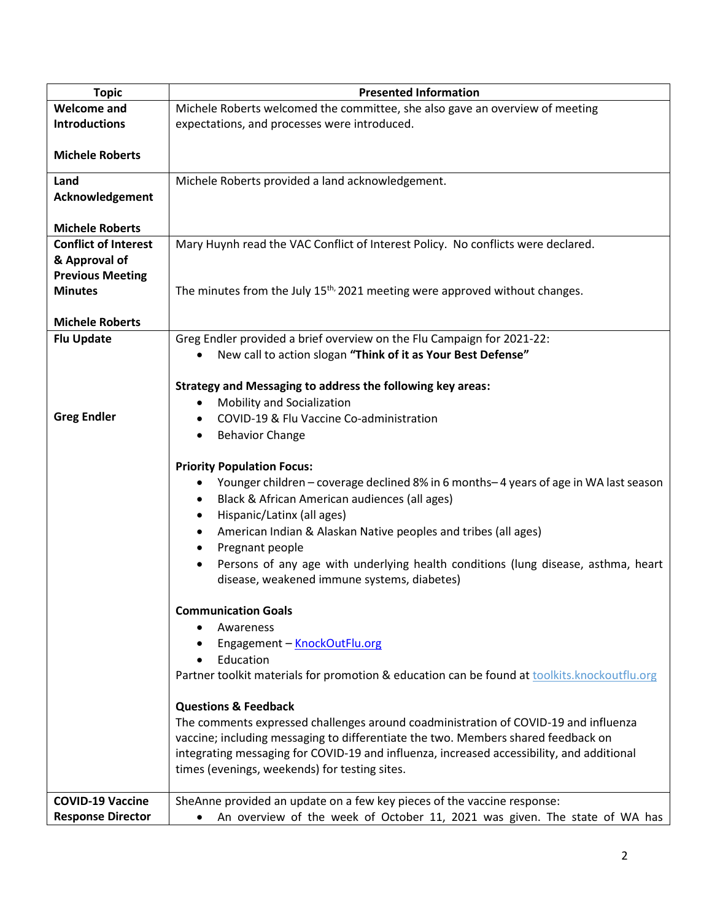| <b>Topic</b>                | <b>Presented Information</b>                                                                                                           |
|-----------------------------|----------------------------------------------------------------------------------------------------------------------------------------|
| <b>Welcome and</b>          | Michele Roberts welcomed the committee, she also gave an overview of meeting                                                           |
| <b>Introductions</b>        | expectations, and processes were introduced.                                                                                           |
| <b>Michele Roberts</b>      |                                                                                                                                        |
| Land                        | Michele Roberts provided a land acknowledgement.                                                                                       |
| Acknowledgement             |                                                                                                                                        |
|                             |                                                                                                                                        |
| <b>Michele Roberts</b>      |                                                                                                                                        |
| <b>Conflict of Interest</b> | Mary Huynh read the VAC Conflict of Interest Policy. No conflicts were declared.                                                       |
| & Approval of               |                                                                                                                                        |
| <b>Previous Meeting</b>     |                                                                                                                                        |
| <b>Minutes</b>              | The minutes from the July 15 <sup>th,</sup> 2021 meeting were approved without changes.                                                |
|                             |                                                                                                                                        |
| <b>Michele Roberts</b>      |                                                                                                                                        |
| <b>Flu Update</b>           | Greg Endler provided a brief overview on the Flu Campaign for 2021-22:<br>New call to action slogan "Think of it as Your Best Defense" |
|                             |                                                                                                                                        |
|                             | <b>Strategy and Messaging to address the following key areas:</b>                                                                      |
|                             | Mobility and Socialization<br>$\bullet$                                                                                                |
| <b>Greg Endler</b>          | COVID-19 & Flu Vaccine Co-administration<br>٠                                                                                          |
|                             | <b>Behavior Change</b><br>٠                                                                                                            |
|                             |                                                                                                                                        |
|                             | <b>Priority Population Focus:</b>                                                                                                      |
|                             | Younger children - coverage declined 8% in 6 months-4 years of age in WA last season<br>٠                                              |
|                             | Black & African American audiences (all ages)<br>٠                                                                                     |
|                             | Hispanic/Latinx (all ages)<br>٠                                                                                                        |
|                             | American Indian & Alaskan Native peoples and tribes (all ages)<br>٠                                                                    |
|                             | Pregnant people<br>$\bullet$                                                                                                           |
|                             | Persons of any age with underlying health conditions (lung disease, asthma, heart                                                      |
|                             | disease, weakened immune systems, diabetes)                                                                                            |
|                             | <b>Communication Goals</b>                                                                                                             |
|                             | Awareness                                                                                                                              |
|                             | Engagement - KnockOutFlu.org                                                                                                           |
|                             | Education                                                                                                                              |
|                             | Partner toolkit materials for promotion & education can be found at toolkits.knockoutflu.org                                           |
|                             | <b>Questions &amp; Feedback</b>                                                                                                        |
|                             | The comments expressed challenges around coadministration of COVID-19 and influenza                                                    |
|                             | vaccine; including messaging to differentiate the two. Members shared feedback on                                                      |
|                             | integrating messaging for COVID-19 and influenza, increased accessibility, and additional                                              |
|                             | times (evenings, weekends) for testing sites.                                                                                          |
|                             |                                                                                                                                        |
| <b>COVID-19 Vaccine</b>     | SheAnne provided an update on a few key pieces of the vaccine response:                                                                |
| <b>Response Director</b>    | An overview of the week of October 11, 2021 was given. The state of WA has                                                             |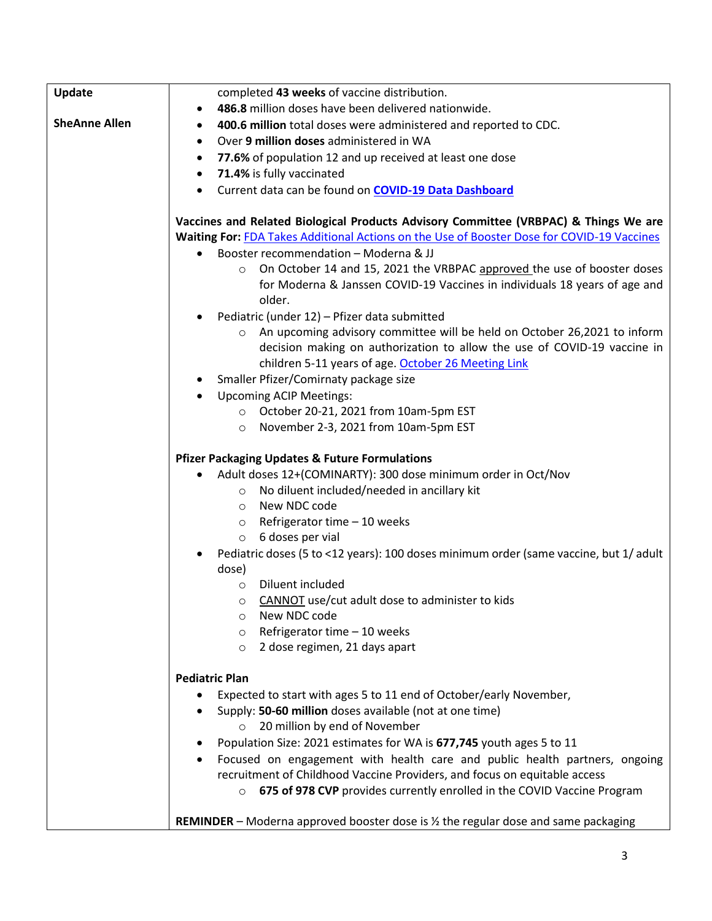| Update               | completed 43 weeks of vaccine distribution.                                                          |
|----------------------|------------------------------------------------------------------------------------------------------|
|                      | 486.8 million doses have been delivered nationwide.<br>$\bullet$                                     |
| <b>SheAnne Allen</b> | 400.6 million total doses were administered and reported to CDC.<br>٠                                |
|                      | Over 9 million doses administered in WA<br>٠                                                         |
|                      | 77.6% of population 12 and up received at least one dose<br>$\bullet$                                |
|                      | 71.4% is fully vaccinated<br>$\bullet$                                                               |
|                      | Current data can be found on COVID-19 Data Dashboard<br>$\bullet$                                    |
|                      |                                                                                                      |
|                      | Vaccines and Related Biological Products Advisory Committee (VRBPAC) & Things We are                 |
|                      | Waiting For: FDA Takes Additional Actions on the Use of Booster Dose for COVID-19 Vaccines           |
|                      | Booster recommendation - Moderna & JJ<br>٠                                                           |
|                      | On October 14 and 15, 2021 the VRBPAC approved the use of booster doses<br>$\circ$                   |
|                      | for Moderna & Janssen COVID-19 Vaccines in individuals 18 years of age and                           |
|                      | older.<br>Pediatric (under 12) - Pfizer data submitted                                               |
|                      | o An upcoming advisory committee will be held on October 26,2021 to inform                           |
|                      | decision making on authorization to allow the use of COVID-19 vaccine in                             |
|                      | children 5-11 years of age. October 26 Meeting Link                                                  |
|                      | Smaller Pfizer/Comirnaty package size                                                                |
|                      | <b>Upcoming ACIP Meetings:</b>                                                                       |
|                      | O October 20-21, 2021 from 10am-5pm EST                                                              |
|                      | O November 2-3, 2021 from 10am-5pm EST                                                               |
|                      |                                                                                                      |
|                      | <b>Pfizer Packaging Updates &amp; Future Formulations</b>                                            |
|                      | Adult doses 12+(COMINARTY): 300 dose minimum order in Oct/Nov                                        |
|                      | No diluent included/needed in ancillary kit<br>$\circ$                                               |
|                      | New NDC code<br>$\circ$                                                                              |
|                      | $\circ$ Refrigerator time - 10 weeks                                                                 |
|                      | 6 doses per vial<br>$\circ$                                                                          |
|                      | Pediatric doses (5 to <12 years): 100 doses minimum order (same vaccine, but 1/ adult                |
|                      | dose)                                                                                                |
|                      | Diluent included<br>$\circ$                                                                          |
|                      | <b>CANNOT</b> use/cut adult dose to administer to kids<br>$\circ$                                    |
|                      | New NDC code<br>$\circ$                                                                              |
|                      | Refrigerator time - 10 weeks<br>$\circ$                                                              |
|                      | 2 dose regimen, 21 days apart<br>$\circ$                                                             |
|                      | <b>Pediatric Plan</b>                                                                                |
|                      | Expected to start with ages 5 to 11 end of October/early November,                                   |
|                      | Supply: 50-60 million doses available (not at one time)                                              |
|                      | 20 million by end of November                                                                        |
|                      | Population Size: 2021 estimates for WA is 677,745 youth ages 5 to 11<br>٠                            |
|                      | Focused on engagement with health care and public health partners, ongoing<br>٠                      |
|                      | recruitment of Childhood Vaccine Providers, and focus on equitable access                            |
|                      | 675 of 978 CVP provides currently enrolled in the COVID Vaccine Program<br>$\circ$                   |
|                      |                                                                                                      |
|                      | <b>REMINDER</b> – Moderna approved booster dose is $\frac{1}{2}$ the regular dose and same packaging |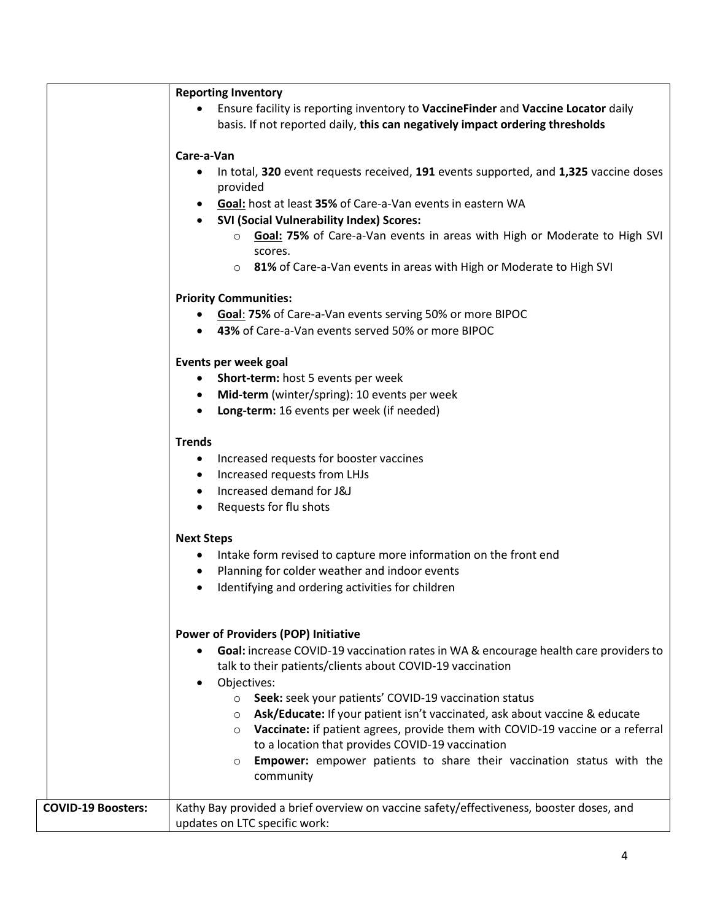|                           | <b>Reporting Inventory</b>                                                                                                                                        |
|---------------------------|-------------------------------------------------------------------------------------------------------------------------------------------------------------------|
|                           | Ensure facility is reporting inventory to VaccineFinder and Vaccine Locator daily<br>basis. If not reported daily, this can negatively impact ordering thresholds |
|                           | Care-a-Van                                                                                                                                                        |
|                           | In total, 320 event requests received, 191 events supported, and 1,325 vaccine doses<br>provided                                                                  |
|                           | Goal: host at least 35% of Care-a-Van events in eastern WA<br><b>SVI (Social Vulnerability Index) Scores:</b>                                                     |
|                           | ○ Goal: 75% of Care-a-Van events in areas with High or Moderate to High SVI<br>scores.                                                                            |
|                           | o 81% of Care-a-Van events in areas with High or Moderate to High SVI                                                                                             |
|                           | <b>Priority Communities:</b>                                                                                                                                      |
|                           | Goal: 75% of Care-a-Van events serving 50% or more BIPOC                                                                                                          |
|                           | 43% of Care-a-Van events served 50% or more BIPOC                                                                                                                 |
|                           | Events per week goal                                                                                                                                              |
|                           | Short-term: host 5 events per week                                                                                                                                |
|                           | Mid-term (winter/spring): 10 events per week<br>$\bullet$                                                                                                         |
|                           | • Long-term: 16 events per week (if needed)                                                                                                                       |
|                           | <b>Trends</b>                                                                                                                                                     |
|                           | Increased requests for booster vaccines<br>$\bullet$                                                                                                              |
|                           | Increased requests from LHJs<br>$\bullet$                                                                                                                         |
|                           | • Increased demand for J&J                                                                                                                                        |
|                           | Requests for flu shots<br>$\bullet$                                                                                                                               |
|                           | <b>Next Steps</b>                                                                                                                                                 |
|                           | Intake form revised to capture more information on the front end<br>$\bullet$                                                                                     |
|                           | Planning for colder weather and indoor events<br>$\bullet$                                                                                                        |
|                           | Identifying and ordering activities for children                                                                                                                  |
|                           | <b>Power of Providers (POP) Initiative</b>                                                                                                                        |
|                           | Goal: increase COVID-19 vaccination rates in WA & encourage health care providers to<br>talk to their patients/clients about COVID-19 vaccination                 |
|                           | Objectives:<br>$\bullet$                                                                                                                                          |
|                           | ○ Seek: seek your patients' COVID-19 vaccination status<br>○ Ask/Educate: If your patient isn't vaccinated, ask about vaccine & educate                           |
|                           | o Vaccinate: if patient agrees, provide them with COVID-19 vaccine or a referral                                                                                  |
|                           | to a location that provides COVID-19 vaccination                                                                                                                  |
|                           | <b>Empower:</b> empower patients to share their vaccination status with the<br>$\circ$<br>community                                                               |
| <b>COVID-19 Boosters:</b> | Kathy Bay provided a brief overview on vaccine safety/effectiveness, booster doses, and                                                                           |
|                           | updates on LTC specific work:                                                                                                                                     |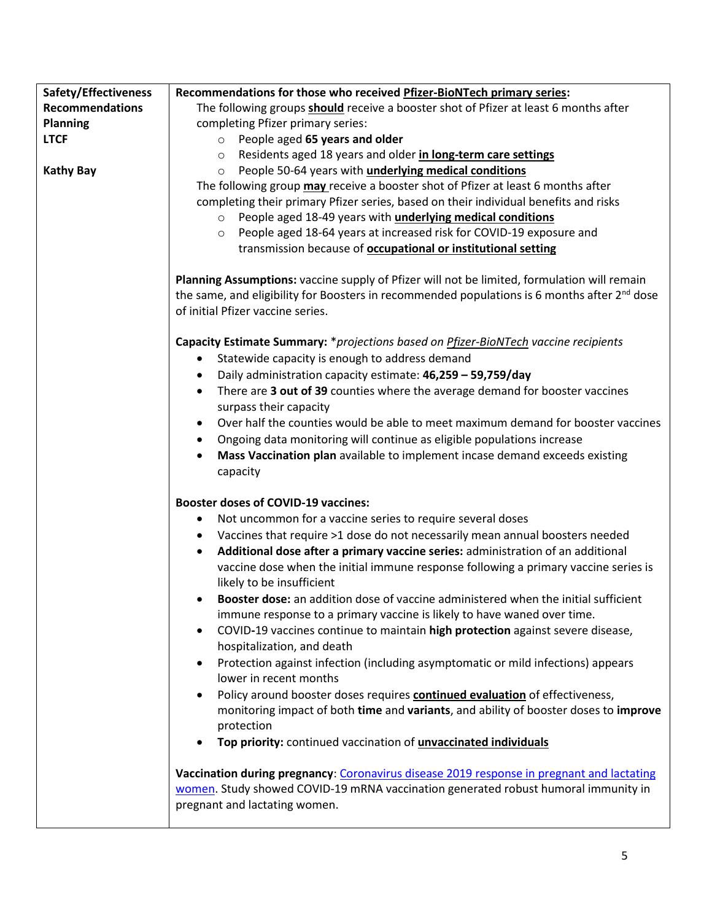| Safety/Effectiveness   | Recommendations for those who received Pfizer-BioNTech primary series:                                 |
|------------------------|--------------------------------------------------------------------------------------------------------|
| <b>Recommendations</b> | The following groups should receive a booster shot of Pfizer at least 6 months after                   |
| <b>Planning</b>        | completing Pfizer primary series:                                                                      |
| <b>LTCF</b>            | $\circ$ People aged 65 years and older                                                                 |
|                        | Residents aged 18 years and older in long-term care settings<br>$\circ$                                |
| <b>Kathy Bay</b>       | People 50-64 years with <i>underlying medical conditions</i><br>$\circ$                                |
|                        | The following group may receive a booster shot of Pfizer at least 6 months after                       |
|                        | completing their primary Pfizer series, based on their individual benefits and risks                   |
|                        | People aged 18-49 years with <i>underlying medical conditions</i><br>$\circ$                           |
|                        | People aged 18-64 years at increased risk for COVID-19 exposure and<br>$\circ$                         |
|                        | transmission because of <b>occupational or institutional setting</b>                                   |
|                        | Planning Assumptions: vaccine supply of Pfizer will not be limited, formulation will remain            |
|                        | the same, and eligibility for Boosters in recommended populations is 6 months after $2^{nd}$ dose      |
|                        | of initial Pfizer vaccine series.                                                                      |
|                        | Capacity Estimate Summary: *projections based on <b>Pfizer-BioNTech</b> vaccine recipients             |
|                        | Statewide capacity is enough to address demand<br>٠                                                    |
|                        | Daily administration capacity estimate: 46,259 - 59,759/day<br>٠                                       |
|                        | There are 3 out of 39 counties where the average demand for booster vaccines<br>$\bullet$              |
|                        | surpass their capacity                                                                                 |
|                        | Over half the counties would be able to meet maximum demand for booster vaccines<br>$\bullet$          |
|                        | Ongoing data monitoring will continue as eligible populations increase<br>$\bullet$                    |
|                        | Mass Vaccination plan available to implement incase demand exceeds existing                            |
|                        | capacity                                                                                               |
|                        | <b>Booster doses of COVID-19 vaccines:</b>                                                             |
|                        | Not uncommon for a vaccine series to require several doses<br>٠                                        |
|                        | Vaccines that require >1 dose do not necessarily mean annual boosters needed<br>$\bullet$              |
|                        | Additional dose after a primary vaccine series: administration of an additional                        |
|                        | vaccine dose when the initial immune response following a primary vaccine series is                    |
|                        | likely to be insufficient                                                                              |
|                        | <b>Booster dose:</b> an addition dose of vaccine administered when the initial sufficient<br>$\bullet$ |
|                        | immune response to a primary vaccine is likely to have waned over time.                                |
|                        | COVID-19 vaccines continue to maintain high protection against severe disease,                         |
|                        | hospitalization, and death                                                                             |
|                        | Protection against infection (including asymptomatic or mild infections) appears<br>$\bullet$          |
|                        | lower in recent months                                                                                 |
|                        | Policy around booster doses requires continued evaluation of effectiveness,<br>$\bullet$               |
|                        | monitoring impact of both time and variants, and ability of booster doses to improve                   |
|                        | protection                                                                                             |
|                        | Top priority: continued vaccination of <i>unvaccinated individuals</i>                                 |
|                        | Vaccination during pregnancy: Coronavirus disease 2019 response in pregnant and lactating              |
|                        | women. Study showed COVID-19 mRNA vaccination generated robust humoral immunity in                     |
|                        | pregnant and lactating women.                                                                          |
|                        |                                                                                                        |